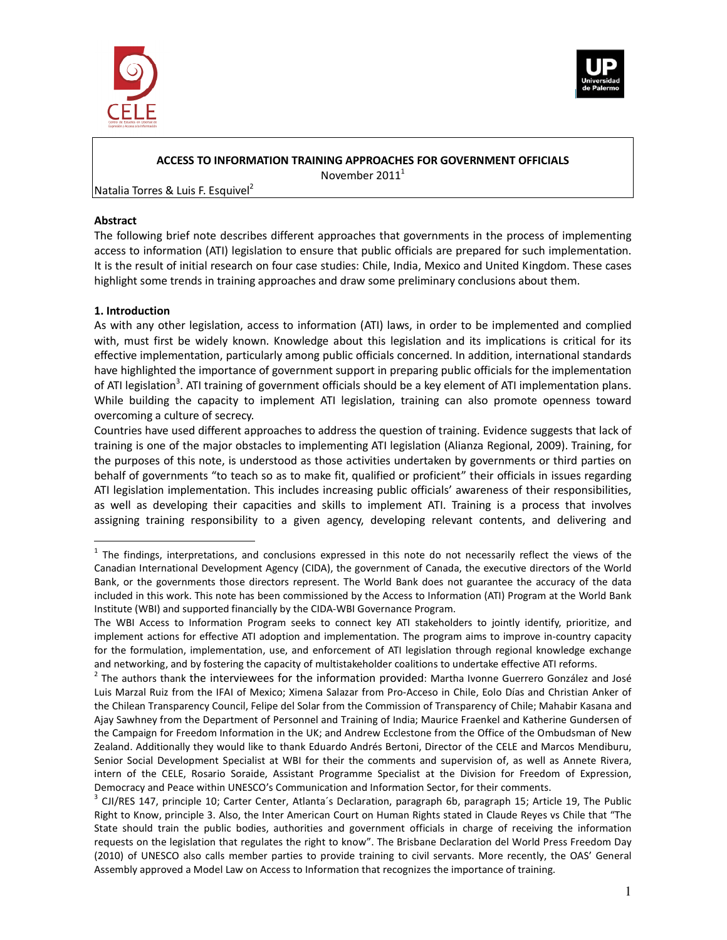



### **ACCESS TO INFORMATION TRAINING APPROACHES FOR GOVERNMENT OFFICIALS**

November 2011<sup>1</sup>

Natalia Torres & Luis F. Esquivel<sup>2</sup>

### **Abstract**

The following brief note describes different approaches that governments in the process of implementing access to information (ATI) legislation to ensure that public officials are prepared for such implementation. It is the result of initial research on four case studies: Chile, India, Mexico and United Kingdom. These cases highlight some trends in training approaches and draw some preliminary conclusions about them.

# **1. Introduction**

 $\overline{a}$ 

As with any other legislation, access to information (ATI) laws, in order to be implemented and complied with, must first be widely known. Knowledge about this legislation and its implications is critical for its effective implementation, particularly among public officials concerned. In addition, international standards have highlighted the importance of government support in preparing public officials for the implementation of ATI legislation<sup>3</sup>. ATI training of government officials should be a key element of ATI implementation plans. While building the capacity to implement ATI legislation, training can also promote openness toward overcoming a culture of secrecy.

Countries have used different approaches to address the question of training. Evidence suggests that lack of training is one of the major obstacles to implementing ATI legislation (Alianza Regional, 2009). Training, for the purposes of this note, is understood as those activities undertaken by governments or third parties on behalf of governments "to teach so as to make fit, qualified or proficient" their officials in issues regarding ATI legislation implementation. This includes increasing public officials' awareness of their responsibilities, as well as developing their capacities and skills to implement ATI. Training is a process that involves assigning training responsibility to a given agency, developing relevant contents, and delivering and

 $1$  The findings, interpretations, and conclusions expressed in this note do not necessarily reflect the views of the Canadian International Development Agency (CIDA), the government of Canada, the executive directors of the World Bank, or the governments those directors represent. The World Bank does not guarantee the accuracy of the data included in this work. This note has been commissioned by the Access to Information (ATI) Program at the World Bank Institute (WBI) and supported financially by the CIDA-WBI Governance Program.

The WBI Access to Information Program seeks to connect key ATI stakeholders to jointly identify, prioritize, and implement actions for effective ATI adoption and implementation. The program aims to improve in-country capacity for the formulation, implementation, use, and enforcement of ATI legislation through regional knowledge exchange and networking, and by fostering the capacity of multistakeholder coalitions to undertake effective ATI reforms.

 $2$  The authors thank the interviewees for the information provided: Martha Ivonne Guerrero González and José Luis Marzal Ruiz from the IFAI of Mexico; Ximena Salazar from Pro-Acceso in Chile, Eolo Días and Christian Anker of the Chilean Transparency Council, Felipe del Solar from the Commission of Transparency of Chile; Mahabir Kasana and Ajay Sawhney from the Department of Personnel and Training of India; Maurice Fraenkel and Katherine Gundersen of the Campaign for Freedom Information in the UK; and Andrew Ecclestone from the Office of the Ombudsman of New Zealand. Additionally they would like to thank Eduardo Andrés Bertoni, Director of the CELE and Marcos Mendiburu, Senior Social Development Specialist at WBI for their the comments and supervision of, as well as Annete Rivera, intern of the CELE, Rosario Soraide, Assistant Programme Specialist at the Division for Freedom of Expression, Democracy and Peace within UNESCO's Communication and Information Sector, for their comments.

 $3$  CJI/RES 147, principle 10; Carter Center, Atlanta's Declaration, paragraph 6b, paragraph 15; Article 19, The Public Right to Know, principle 3. Also, the Inter American Court on Human Rights stated in Claude Reyes vs Chile that "The State should train the public bodies, authorities and government officials in charge of receiving the information requests on the legislation that regulates the right to know". The Brisbane Declaration del World Press Freedom Day (2010) of UNESCO also calls member parties to provide training to civil servants. More recently, the OAS' General Assembly approved a Model Law on Access to Information that recognizes the importance of training.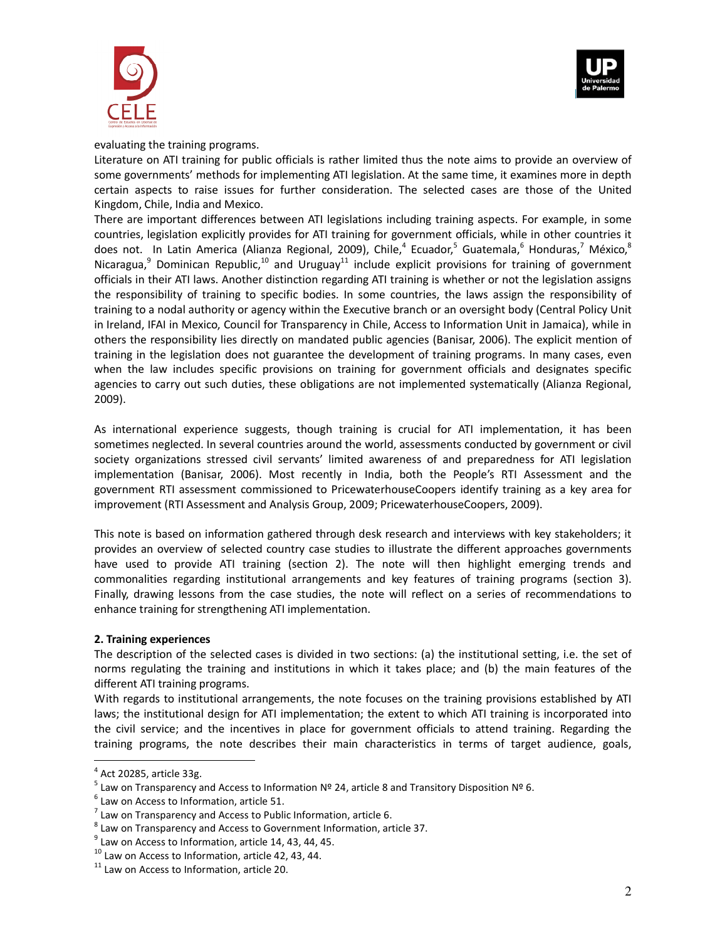



### evaluating the training programs.

Literature on ATI training for public officials is rather limited thus the note aims to provide an overview of some governments' methods for implementing ATI legislation. At the same time, it examines more in depth certain aspects to raise issues for further consideration. The selected cases are those of the United Kingdom, Chile, India and Mexico.

There are important differences between ATI legislations including training aspects. For example, in some countries, legislation explicitly provides for ATI training for government officials, while in other countries it does not. In Latin America (Alianza Regional, 2009), Chile,<sup>4</sup> Ecuador,<sup>5</sup> Guatemala,<sup>6</sup> Honduras,<sup>7</sup> México,<sup>8</sup> Nicaragua,<sup>9</sup> Dominican Republic,<sup>10</sup> and Uruguay<sup>11</sup> include explicit provisions for training of government officials in their ATI laws. Another distinction regarding ATI training is whether or not the legislation assigns the responsibility of training to specific bodies. In some countries, the laws assign the responsibility of training to a nodal authority or agency within the Executive branch or an oversight body (Central Policy Unit in Ireland, IFAI in Mexico, Council for Transparency in Chile, Access to Information Unit in Jamaica), while in others the responsibility lies directly on mandated public agencies (Banisar, 2006). The explicit mention of training in the legislation does not guarantee the development of training programs. In many cases, even when the law includes specific provisions on training for government officials and designates specific agencies to carry out such duties, these obligations are not implemented systematically (Alianza Regional, 2009).

As international experience suggests, though training is crucial for ATI implementation, it has been sometimes neglected. In several countries around the world, assessments conducted by government or civil society organizations stressed civil servants' limited awareness of and preparedness for ATI legislation implementation (Banisar, 2006). Most recently in India, both the People's RTI Assessment and the government RTI assessment commissioned to PricewaterhouseCoopers identify training as a key area for improvement (RTI Assessment and Analysis Group, 2009; PricewaterhouseCoopers, 2009).

This note is based on information gathered through desk research and interviews with key stakeholders; it provides an overview of selected country case studies to illustrate the different approaches governments have used to provide ATI training (section 2). The note will then highlight emerging trends and commonalities regarding institutional arrangements and key features of training programs (section 3). Finally, drawing lessons from the case studies, the note will reflect on a series of recommendations to enhance training for strengthening ATI implementation.

#### **2. Training experiences**

The description of the selected cases is divided in two sections: (a) the institutional setting, i.e. the set of norms regulating the training and institutions in which it takes place; and (b) the main features of the different ATI training programs.

With regards to institutional arrangements, the note focuses on the training provisions established by ATI laws; the institutional design for ATI implementation; the extent to which ATI training is incorporated into the civil service; and the incentives in place for government officials to attend training. Regarding the training programs, the note describes their main characteristics in terms of target audience, goals,

 $<sup>4</sup>$  Act 20285, article 33g.</sup>

 $^5$  Law on Transparency and Access to Information Nº 24, article 8 and Transitory Disposition Nº 6.

 $<sup>6</sup>$  Law on Access to Information, article 51.</sup>

 $<sup>7</sup>$  Law on Transparency and Access to Public Information, article 6.</sup>

 $^8$  Law on Transparency and Access to Government Information, article 37.

 $9$  Law on Access to Information, article 14, 43, 44, 45.

 $10$  Law on Access to Information, article 42, 43, 44.

 $11$  Law on Access to Information, article 20.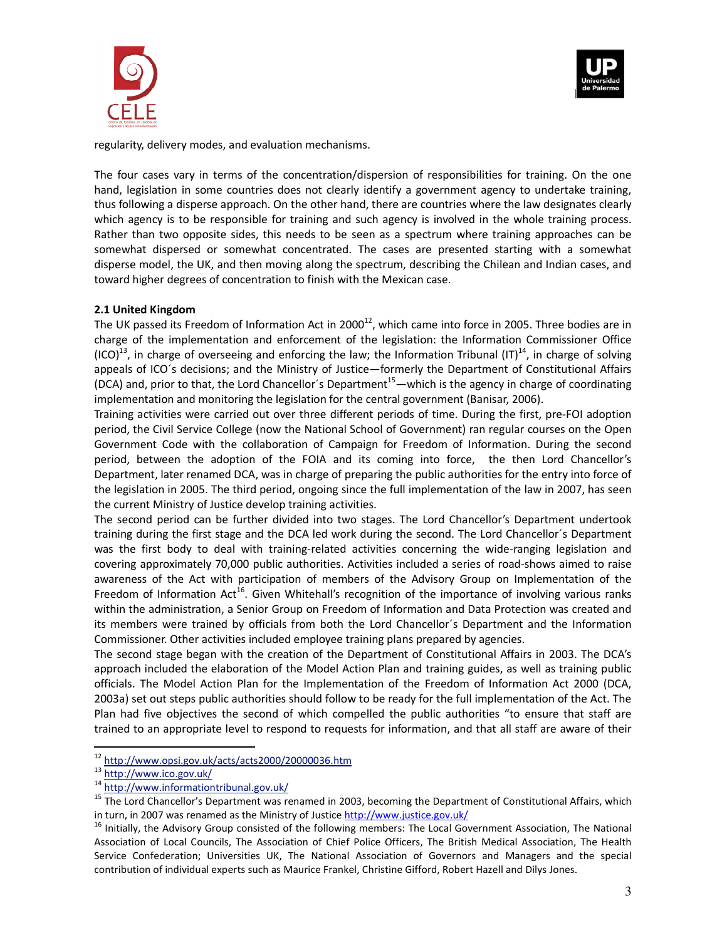



regularity, delivery modes, and evaluation mechanisms.

The four cases vary in terms of the concentration/dispersion of responsibilities for training. On the one hand, legislation in some countries does not clearly identify a government agency to undertake training, thus following a disperse approach. On the other hand, there are countries where the law designates clearly which agency is to be responsible for training and such agency is involved in the whole training process. Rather than two opposite sides, this needs to be seen as a spectrum where training approaches can be somewhat dispersed or somewhat concentrated. The cases are presented starting with a somewhat disperse model, the UK, and then moving along the spectrum, describing the Chilean and Indian cases, and toward higher degrees of concentration to finish with the Mexican case.

## **2.1 United Kingdom**

The UK passed its Freedom of Information Act in 2000<sup>12</sup>, which came into force in 2005. Three bodies are in charge of the implementation and enforcement of the legislation: the Information Commissioner Office  $(ICO)^{13}$ , in charge of overseeing and enforcing the law; the Information Tribunal  $(IT)^{14}$ , in charge of solving appeals of ICO´s decisions; and the Ministry of Justice—formerly the Department of Constitutional Affairs (DCA) and, prior to that, the Lord Chancellor's Department<sup>15</sup>—which is the agency in charge of coordinating implementation and monitoring the legislation for the central government (Banisar, 2006).

Training activities were carried out over three different periods of time. During the first, pre-FOI adoption period, the Civil Service College (now the National School of Government) ran regular courses on the Open Government Code with the collaboration of Campaign for Freedom of Information. During the second period, between the adoption of the FOIA and its coming into force, the then Lord Chancellor's Department, later renamed DCA, was in charge of preparing the public authorities for the entry into force of the legislation in 2005. The third period, ongoing since the full implementation of the law in 2007, has seen the current Ministry of Justice develop training activities.

The second period can be further divided into two stages. The Lord Chancellor's Department undertook training during the first stage and the DCA led work during the second. The Lord Chancellor´s Department was the first body to deal with training-related activities concerning the wide-ranging legislation and covering approximately 70,000 public authorities. Activities included a series of road-shows aimed to raise awareness of the Act with participation of members of the Advisory Group on Implementation of the Freedom of Information Act<sup>16</sup>. Given Whitehall's recognition of the importance of involving various ranks within the administration, a Senior Group on Freedom of Information and Data Protection was created and its members were trained by officials from both the Lord Chancellor´s Department and the Information Commissioner. Other activities included employee training plans prepared by agencies.

The second stage began with the creation of the Department of Constitutional Affairs in 2003. The DCA's approach included the elaboration of the Model Action Plan and training guides, as well as training public officials. The Model Action Plan for the Implementation of the Freedom of Information Act 2000 (DCA, 2003a) set out steps public authorities should follow to be ready for the full implementation of the Act. The Plan had five objectives the second of which compelled the public authorities "to ensure that staff are trained to an appropriate level to respond to requests for information, and that all staff are aware of their

<sup>&</sup>lt;sup>12</sup> http://www.opsi.gov.uk/acts/acts2000/20000036.htm

<sup>13</sup> http://www.ico.gov.uk/

<sup>14</sup> http://www.informationtribunal.gov.uk/

<sup>&</sup>lt;sup>15</sup> The Lord Chancellor's Department was renamed in 2003, becoming the Department of Constitutional Affairs, which in turn, in 2007 was renamed as the Ministry of Justice http://www.justice.gov.uk/

<sup>&</sup>lt;sup>16</sup> Initially, the Advisory Group consisted of the following members: The Local Government Association, The National Association of Local Councils, The Association of Chief Police Officers, The British Medical Association, The Health Service Confederation; Universities UK, The National Association of Governors and Managers and the special contribution of individual experts such as Maurice Frankel, Christine Gifford, Robert Hazell and Dilys Jones.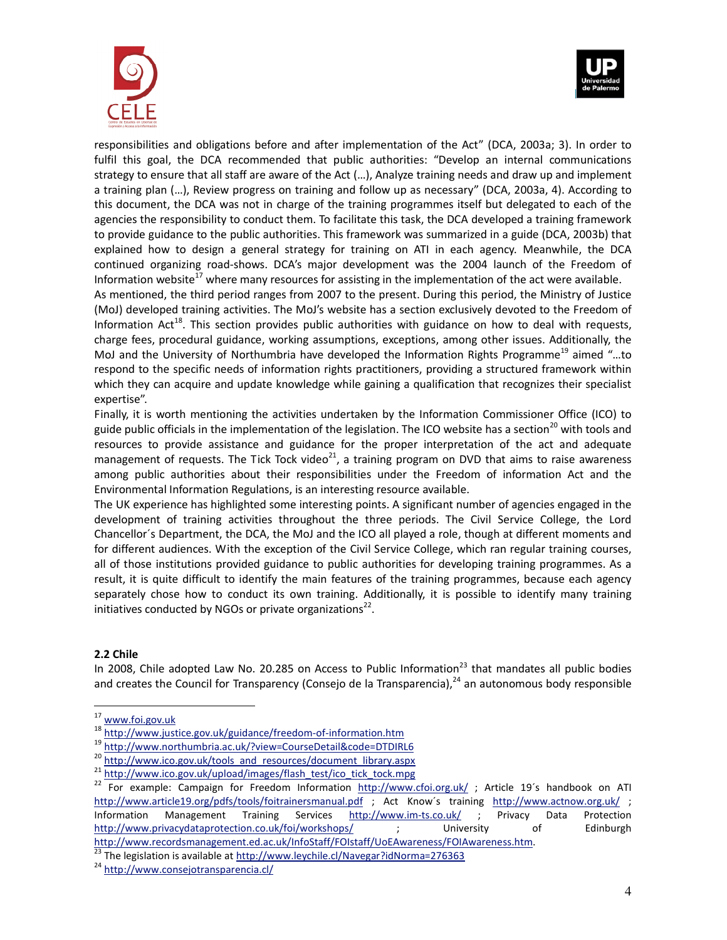



responsibilities and obligations before and after implementation of the Act" (DCA, 2003a; 3). In order to fulfil this goal, the DCA recommended that public authorities: "Develop an internal communications strategy to ensure that all staff are aware of the Act (…), Analyze training needs and draw up and implement a training plan (…), Review progress on training and follow up as necessary" (DCA, 2003a, 4). According to this document, the DCA was not in charge of the training programmes itself but delegated to each of the agencies the responsibility to conduct them. To facilitate this task, the DCA developed a training framework to provide guidance to the public authorities. This framework was summarized in a guide (DCA, 2003b) that explained how to design a general strategy for training on ATI in each agency. Meanwhile, the DCA continued organizing road-shows. DCA's major development was the 2004 launch of the Freedom of Information website<sup>17</sup> where many resources for assisting in the implementation of the act were available. As mentioned, the third period ranges from 2007 to the present. During this period, the Ministry of Justice (MoJ) developed training activities. The MoJ's website has a section exclusively devoted to the Freedom of Information Act<sup>18</sup>. This section provides public authorities with guidance on how to deal with requests, charge fees, procedural guidance, working assumptions, exceptions, among other issues. Additionally, the MoJ and the University of Northumbria have developed the Information Rights Programme<sup>19</sup> aimed "...to respond to the specific needs of information rights practitioners, providing a structured framework within which they can acquire and update knowledge while gaining a qualification that recognizes their specialist expertise".

Finally, it is worth mentioning the activities undertaken by the Information Commissioner Office (ICO) to guide public officials in the implementation of the legislation. The ICO website has a section<sup>20</sup> with tools and resources to provide assistance and guidance for the proper interpretation of the act and adequate management of requests. The Tick Tock video<sup>21</sup>, a training program on DVD that aims to raise awareness among public authorities about their responsibilities under the Freedom of information Act and the Environmental Information Regulations, is an interesting resource available.

The UK experience has highlighted some interesting points. A significant number of agencies engaged in the development of training activities throughout the three periods. The Civil Service College, the Lord Chancellor´s Department, the DCA, the MoJ and the ICO all played a role, though at different moments and for different audiences. With the exception of the Civil Service College, which ran regular training courses, all of those institutions provided guidance to public authorities for developing training programmes. As a result, it is quite difficult to identify the main features of the training programmes, because each agency separately chose how to conduct its own training. Additionally, it is possible to identify many training initiatives conducted by NGOs or private organizations $^{22}$ .

#### **2.2 Chile**

 $\overline{a}$ 

In 2008, Chile adopted Law No. 20.285 on Access to Public Information<sup>23</sup> that mandates all public bodies and creates the Council for Transparency (Consejo de la Transparencia), $^{24}$  an autonomous body responsible

<sup>&</sup>lt;sup>17</sup> www.foi.gov.uk

<sup>18</sup> http://www.justice.gov.uk/guidance/freedom-of-information.htm

<sup>19</sup> http://www.northumbria.ac.uk/?view=CourseDetail&code=DTDIRL6

<sup>20</sup> http://www.ico.gov.uk/tools\_and\_resources/document\_library.aspx

<sup>&</sup>lt;sup>21</sup> http://www.ico.gov.uk/upload/images/flash\_test/ico\_tick\_tock.mpg

<sup>&</sup>lt;sup>22</sup> For example: Campaign for Freedom Information http://www.cfoi.org.uk/ ; Article 19's handbook on ATI http://www.article19.org/pdfs/tools/foitrainersmanual.pdf ; Act Know's training http://www.actnow.org.uk/ ; Information Management Training Services http://www.im-ts.co.uk/ ; Privacy Data Protection http://www.privacydataprotection.co.uk/foi/workshops/ ; University of Edinburgh http://www.recordsmanagement.ed.ac.uk/InfoStaff/FOIstaff/UoEAwareness/FOIAwareness.htm.

 $^{\overline{23}}$  The legislation is available at http://www.leychile.cl/Navegar?idNorma=276363

<sup>24</sup> http://www.consejotransparencia.cl/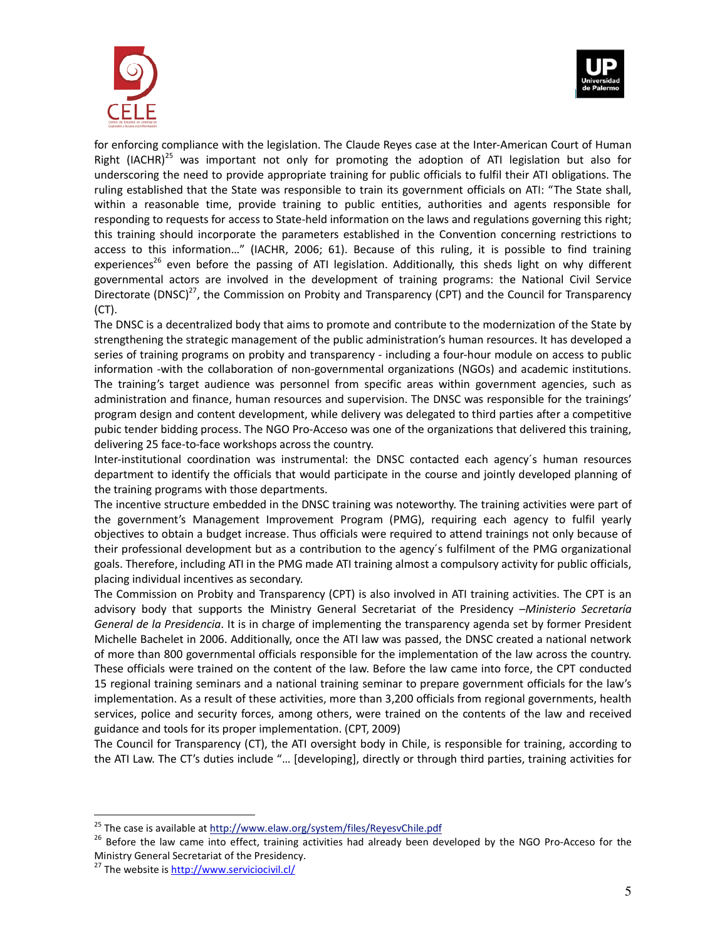



for enforcing compliance with the legislation. The Claude Reyes case at the Inter-American Court of Human Right (IACHR)<sup>25</sup> was important not only for promoting the adoption of ATI legislation but also for underscoring the need to provide appropriate training for public officials to fulfil their ATI obligations. The ruling established that the State was responsible to train its government officials on ATI: "The State shall, within a reasonable time, provide training to public entities, authorities and agents responsible for responding to requests for access to State-held information on the laws and regulations governing this right; this training should incorporate the parameters established in the Convention concerning restrictions to access to this information…" (IACHR, 2006; 61). Because of this ruling, it is possible to find training experiences<sup>26</sup> even before the passing of ATI legislation. Additionally, this sheds light on why different governmental actors are involved in the development of training programs: the National Civil Service Directorate (DNSC)<sup>27</sup>, the Commission on Probity and Transparency (CPT) and the Council for Transparency (CT).

The DNSC is a decentralized body that aims to promote and contribute to the modernization of the State by strengthening the strategic management of the public administration's human resources. It has developed a series of training programs on probity and transparency - including a four-hour module on access to public information -with the collaboration of non-governmental organizations (NGOs) and academic institutions. The training's target audience was personnel from specific areas within government agencies, such as administration and finance, human resources and supervision. The DNSC was responsible for the trainings' program design and content development, while delivery was delegated to third parties after a competitive pubic tender bidding process. The NGO Pro-Acceso was one of the organizations that delivered this training, delivering 25 face-to-face workshops across the country.

Inter-institutional coordination was instrumental: the DNSC contacted each agency´s human resources department to identify the officials that would participate in the course and jointly developed planning of the training programs with those departments.

The incentive structure embedded in the DNSC training was noteworthy. The training activities were part of the government's Management Improvement Program (PMG), requiring each agency to fulfil yearly objectives to obtain a budget increase. Thus officials were required to attend trainings not only because of their professional development but as a contribution to the agency´s fulfilment of the PMG organizational goals. Therefore, including ATI in the PMG made ATI training almost a compulsory activity for public officials, placing individual incentives as secondary.

The Commission on Probity and Transparency (CPT) is also involved in ATI training activities. The CPT is an advisory body that supports the Ministry General Secretariat of the Presidency –*Ministerio Secretaría General de la Presidencia*. It is in charge of implementing the transparency agenda set by former President Michelle Bachelet in 2006. Additionally, once the ATI law was passed, the DNSC created a national network of more than 800 governmental officials responsible for the implementation of the law across the country. These officials were trained on the content of the law. Before the law came into force, the CPT conducted 15 regional training seminars and a national training seminar to prepare government officials for the law's implementation. As a result of these activities, more than 3,200 officials from regional governments, health services, police and security forces, among others, were trained on the contents of the law and received guidance and tools for its proper implementation. (CPT, 2009)

The Council for Transparency (CT), the ATI oversight body in Chile, is responsible for training, according to the ATI Law. The CT's duties include "… [developing], directly or through third parties, training activities for

<sup>&</sup>lt;sup>25</sup> The case is available at http://www.elaw.org/system/files/ReyesvChile.pdf

<sup>&</sup>lt;sup>26</sup> Before the law came into effect, training activities had already been developed by the NGO Pro-Acceso for the Ministry General Secretariat of the Presidency.

<sup>&</sup>lt;sup>27</sup> The website is **http://www.serviciocivil.cl/**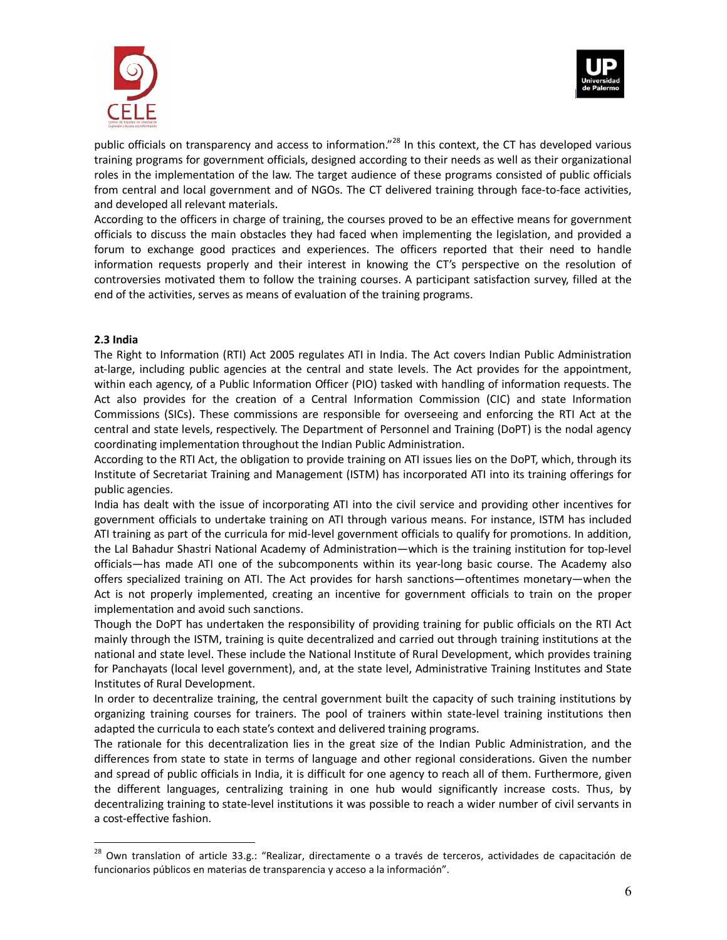



public officials on transparency and access to information."<sup>28</sup> In this context, the CT has developed various training programs for government officials, designed according to their needs as well as their organizational roles in the implementation of the law. The target audience of these programs consisted of public officials from central and local government and of NGOs. The CT delivered training through face-to-face activities, and developed all relevant materials.

According to the officers in charge of training, the courses proved to be an effective means for government officials to discuss the main obstacles they had faced when implementing the legislation, and provided a forum to exchange good practices and experiences. The officers reported that their need to handle information requests properly and their interest in knowing the CT's perspective on the resolution of controversies motivated them to follow the training courses. A participant satisfaction survey, filled at the end of the activities, serves as means of evaluation of the training programs.

## **2.3 India**

 $\overline{a}$ 

The Right to Information (RTI) Act 2005 regulates ATI in India. The Act covers Indian Public Administration at-large, including public agencies at the central and state levels. The Act provides for the appointment, within each agency, of a Public Information Officer (PIO) tasked with handling of information requests. The Act also provides for the creation of a Central Information Commission (CIC) and state Information Commissions (SICs). These commissions are responsible for overseeing and enforcing the RTI Act at the central and state levels, respectively. The Department of Personnel and Training (DoPT) is the nodal agency coordinating implementation throughout the Indian Public Administration.

According to the RTI Act, the obligation to provide training on ATI issues lies on the DoPT, which, through its Institute of Secretariat Training and Management (ISTM) has incorporated ATI into its training offerings for public agencies.

India has dealt with the issue of incorporating ATI into the civil service and providing other incentives for government officials to undertake training on ATI through various means. For instance, ISTM has included ATI training as part of the curricula for mid-level government officials to qualify for promotions. In addition, the Lal Bahadur Shastri National Academy of Administration—which is the training institution for top-level officials—has made ATI one of the subcomponents within its year-long basic course. The Academy also offers specialized training on ATI. The Act provides for harsh sanctions—oftentimes monetary—when the Act is not properly implemented, creating an incentive for government officials to train on the proper implementation and avoid such sanctions.

Though the DoPT has undertaken the responsibility of providing training for public officials on the RTI Act mainly through the ISTM, training is quite decentralized and carried out through training institutions at the national and state level. These include the National Institute of Rural Development, which provides training for Panchayats (local level government), and, at the state level, Administrative Training Institutes and State Institutes of Rural Development.

In order to decentralize training, the central government built the capacity of such training institutions by organizing training courses for trainers. The pool of trainers within state-level training institutions then adapted the curricula to each state's context and delivered training programs.

The rationale for this decentralization lies in the great size of the Indian Public Administration, and the differences from state to state in terms of language and other regional considerations. Given the number and spread of public officials in India, it is difficult for one agency to reach all of them. Furthermore, given the different languages, centralizing training in one hub would significantly increase costs. Thus, by decentralizing training to state-level institutions it was possible to reach a wider number of civil servants in a cost-effective fashion.

<sup>&</sup>lt;sup>28</sup> Own translation of article 33.g.: "Realizar, directamente o a través de terceros, actividades de capacitación de funcionarios públicos en materias de transparencia y acceso a la información".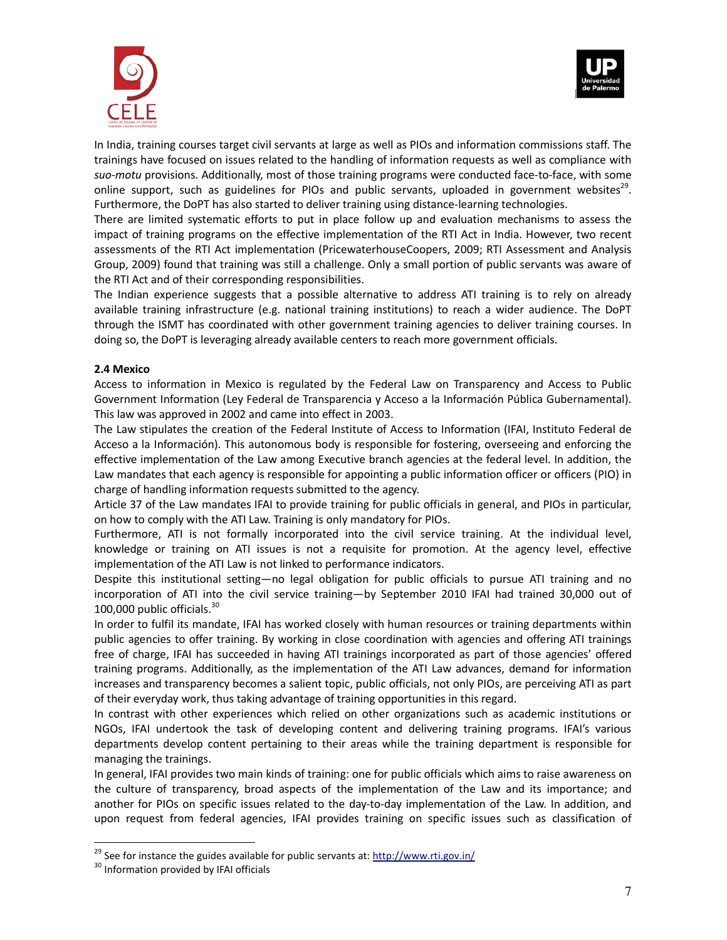



In India, training courses target civil servants at large as well as PIOs and information commissions staff. The trainings have focused on issues related to the handling of information requests as well as compliance with *suo-motu* provisions. Additionally, most of those training programs were conducted face-to-face, with some online support, such as guidelines for PIOs and public servants, uploaded in government websites<sup>29</sup>. Furthermore, the DoPT has also started to deliver training using distance-learning technologies.

There are limited systematic efforts to put in place follow up and evaluation mechanisms to assess the impact of training programs on the effective implementation of the RTI Act in India. However, two recent assessments of the RTI Act implementation (PricewaterhouseCoopers, 2009; RTI Assessment and Analysis Group, 2009) found that training was still a challenge. Only a small portion of public servants was aware of the RTI Act and of their corresponding responsibilities.

The Indian experience suggests that a possible alternative to address ATI training is to rely on already available training infrastructure (e.g. national training institutions) to reach a wider audience. The DoPT through the ISMT has coordinated with other government training agencies to deliver training courses. In doing so, the DoPT is leveraging already available centers to reach more government officials.

#### **2.4 Mexico**

Access to information in Mexico is regulated by the Federal Law on Transparency and Access to Public Government Information (Ley Federal de Transparencia y Acceso a la Información Pública Gubernamental). This law was approved in 2002 and came into effect in 2003.

The Law stipulates the creation of the Federal Institute of Access to Information (IFAI, Instituto Federal de Acceso a la Información). This autonomous body is responsible for fostering, overseeing and enforcing the effective implementation of the Law among Executive branch agencies at the federal level. In addition, the Law mandates that each agency is responsible for appointing a public information officer or officers (PIO) in charge of handling information requests submitted to the agency.

Article 37 of the Law mandates IFAI to provide training for public officials in general, and PIOs in particular, on how to comply with the ATI Law. Training is only mandatory for PIOs.

Furthermore, ATI is not formally incorporated into the civil service training. At the individual level, knowledge or training on ATI issues is not a requisite for promotion. At the agency level, effective implementation of the ATI Law is not linked to performance indicators.

Despite this institutional setting—no legal obligation for public officials to pursue ATI training and no incorporation of ATI into the civil service training—by September 2010 IFAI had trained 30,000 out of 100,000 public officials. $30$ 

In order to fulfil its mandate, IFAI has worked closely with human resources or training departments within public agencies to offer training. By working in close coordination with agencies and offering ATI trainings free of charge, IFAI has succeeded in having ATI trainings incorporated as part of those agencies' offered training programs. Additionally, as the implementation of the ATI Law advances, demand for information increases and transparency becomes a salient topic, public officials, not only PIOs, are perceiving ATI as part of their everyday work, thus taking advantage of training opportunities in this regard.

In contrast with other experiences which relied on other organizations such as academic institutions or NGOs, IFAI undertook the task of developing content and delivering training programs. IFAI's various departments develop content pertaining to their areas while the training department is responsible for managing the trainings.

In general, IFAI provides two main kinds of training: one for public officials which aims to raise awareness on the culture of transparency, broad aspects of the implementation of the Law and its importance; and another for PIOs on specific issues related to the day-to-day implementation of the Law. In addition, and upon request from federal agencies, IFAI provides training on specific issues such as classification of

<sup>&</sup>lt;sup>29</sup> See for instance the guides available for public servants at: http://www.rti.gov.in/

<sup>&</sup>lt;sup>30</sup> Information provided by IFAI officials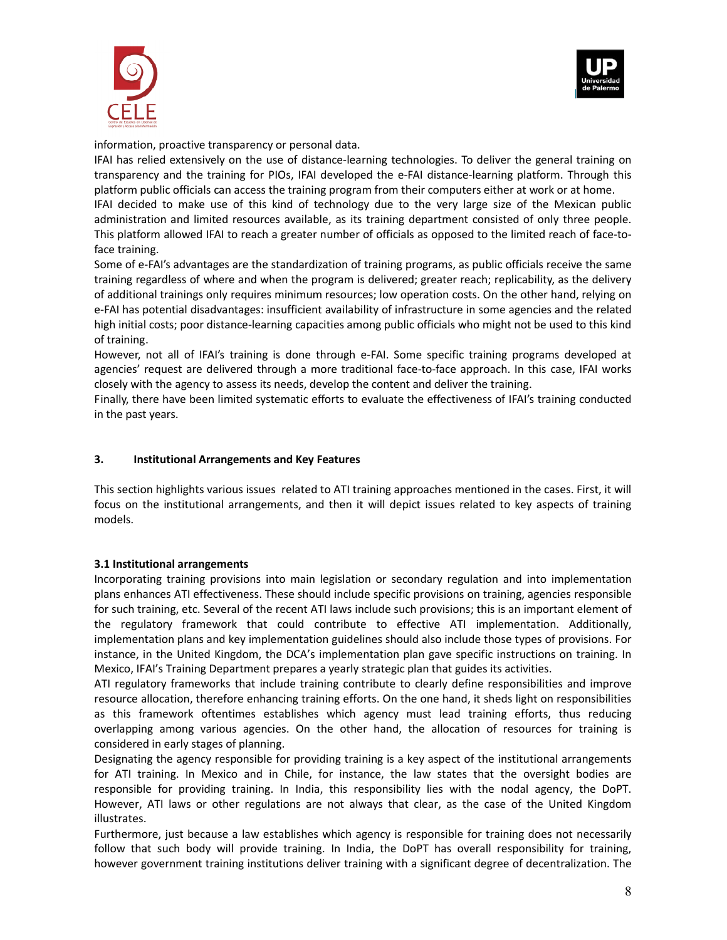



information, proactive transparency or personal data.

IFAI has relied extensively on the use of distance-learning technologies. To deliver the general training on transparency and the training for PIOs, IFAI developed the e-FAI distance-learning platform. Through this platform public officials can access the training program from their computers either at work or at home.

IFAI decided to make use of this kind of technology due to the very large size of the Mexican public administration and limited resources available, as its training department consisted of only three people. This platform allowed IFAI to reach a greater number of officials as opposed to the limited reach of face-toface training.

Some of e-FAI's advantages are the standardization of training programs, as public officials receive the same training regardless of where and when the program is delivered; greater reach; replicability, as the delivery of additional trainings only requires minimum resources; low operation costs. On the other hand, relying on e-FAI has potential disadvantages: insufficient availability of infrastructure in some agencies and the related high initial costs; poor distance-learning capacities among public officials who might not be used to this kind of training.

However, not all of IFAI's training is done through e-FAI. Some specific training programs developed at agencies' request are delivered through a more traditional face-to-face approach. In this case, IFAI works closely with the agency to assess its needs, develop the content and deliver the training.

Finally, there have been limited systematic efforts to evaluate the effectiveness of IFAI's training conducted in the past years.

## **3. Institutional Arrangements and Key Features**

This section highlights various issues related to ATI training approaches mentioned in the cases. First, it will focus on the institutional arrangements, and then it will depict issues related to key aspects of training models.

#### **3.1 Institutional arrangements**

Incorporating training provisions into main legislation or secondary regulation and into implementation plans enhances ATI effectiveness. These should include specific provisions on training, agencies responsible for such training, etc. Several of the recent ATI laws include such provisions; this is an important element of the regulatory framework that could contribute to effective ATI implementation. Additionally, implementation plans and key implementation guidelines should also include those types of provisions. For instance, in the United Kingdom, the DCA's implementation plan gave specific instructions on training. In Mexico, IFAI's Training Department prepares a yearly strategic plan that guides its activities.

ATI regulatory frameworks that include training contribute to clearly define responsibilities and improve resource allocation, therefore enhancing training efforts. On the one hand, it sheds light on responsibilities as this framework oftentimes establishes which agency must lead training efforts, thus reducing overlapping among various agencies. On the other hand, the allocation of resources for training is considered in early stages of planning.

Designating the agency responsible for providing training is a key aspect of the institutional arrangements for ATI training. In Mexico and in Chile, for instance, the law states that the oversight bodies are responsible for providing training. In India, this responsibility lies with the nodal agency, the DoPT. However, ATI laws or other regulations are not always that clear, as the case of the United Kingdom illustrates.

Furthermore, just because a law establishes which agency is responsible for training does not necessarily follow that such body will provide training. In India, the DoPT has overall responsibility for training, however government training institutions deliver training with a significant degree of decentralization. The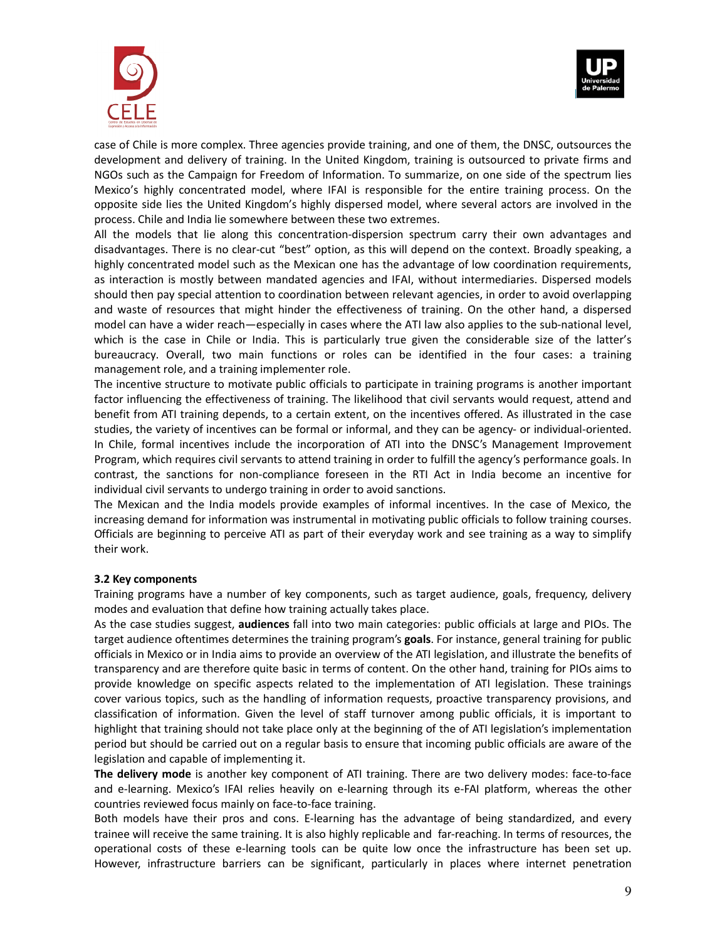



case of Chile is more complex. Three agencies provide training, and one of them, the DNSC, outsources the development and delivery of training. In the United Kingdom, training is outsourced to private firms and NGOs such as the Campaign for Freedom of Information. To summarize, on one side of the spectrum lies Mexico's highly concentrated model, where IFAI is responsible for the entire training process. On the opposite side lies the United Kingdom's highly dispersed model, where several actors are involved in the process. Chile and India lie somewhere between these two extremes.

All the models that lie along this concentration-dispersion spectrum carry their own advantages and disadvantages. There is no clear-cut "best" option, as this will depend on the context. Broadly speaking, a highly concentrated model such as the Mexican one has the advantage of low coordination requirements, as interaction is mostly between mandated agencies and IFAI, without intermediaries. Dispersed models should then pay special attention to coordination between relevant agencies, in order to avoid overlapping and waste of resources that might hinder the effectiveness of training. On the other hand, a dispersed model can have a wider reach—especially in cases where the ATI law also applies to the sub-national level, which is the case in Chile or India. This is particularly true given the considerable size of the latter's bureaucracy. Overall, two main functions or roles can be identified in the four cases: a training management role, and a training implementer role.

The incentive structure to motivate public officials to participate in training programs is another important factor influencing the effectiveness of training. The likelihood that civil servants would request, attend and benefit from ATI training depends, to a certain extent, on the incentives offered. As illustrated in the case studies, the variety of incentives can be formal or informal, and they can be agency- or individual-oriented. In Chile, formal incentives include the incorporation of ATI into the DNSC's Management Improvement Program, which requires civil servants to attend training in order to fulfill the agency's performance goals. In contrast, the sanctions for non-compliance foreseen in the RTI Act in India become an incentive for individual civil servants to undergo training in order to avoid sanctions.

The Mexican and the India models provide examples of informal incentives. In the case of Mexico, the increasing demand for information was instrumental in motivating public officials to follow training courses. Officials are beginning to perceive ATI as part of their everyday work and see training as a way to simplify their work.

#### **3.2 Key components**

Training programs have a number of key components, such as target audience, goals, frequency, delivery modes and evaluation that define how training actually takes place.

As the case studies suggest, **audiences** fall into two main categories: public officials at large and PIOs. The target audience oftentimes determines the training program's **goals**. For instance, general training for public officials in Mexico or in India aims to provide an overview of the ATI legislation, and illustrate the benefits of transparency and are therefore quite basic in terms of content. On the other hand, training for PIOs aims to provide knowledge on specific aspects related to the implementation of ATI legislation. These trainings cover various topics, such as the handling of information requests, proactive transparency provisions, and classification of information. Given the level of staff turnover among public officials, it is important to highlight that training should not take place only at the beginning of the of ATI legislation's implementation period but should be carried out on a regular basis to ensure that incoming public officials are aware of the legislation and capable of implementing it.

**The delivery mode** is another key component of ATI training. There are two delivery modes: face-to-face and e-learning. Mexico's IFAI relies heavily on e-learning through its e-FAI platform, whereas the other countries reviewed focus mainly on face-to-face training.

Both models have their pros and cons. E-learning has the advantage of being standardized, and every trainee will receive the same training. It is also highly replicable and far-reaching. In terms of resources, the operational costs of these e-learning tools can be quite low once the infrastructure has been set up. However, infrastructure barriers can be significant, particularly in places where internet penetration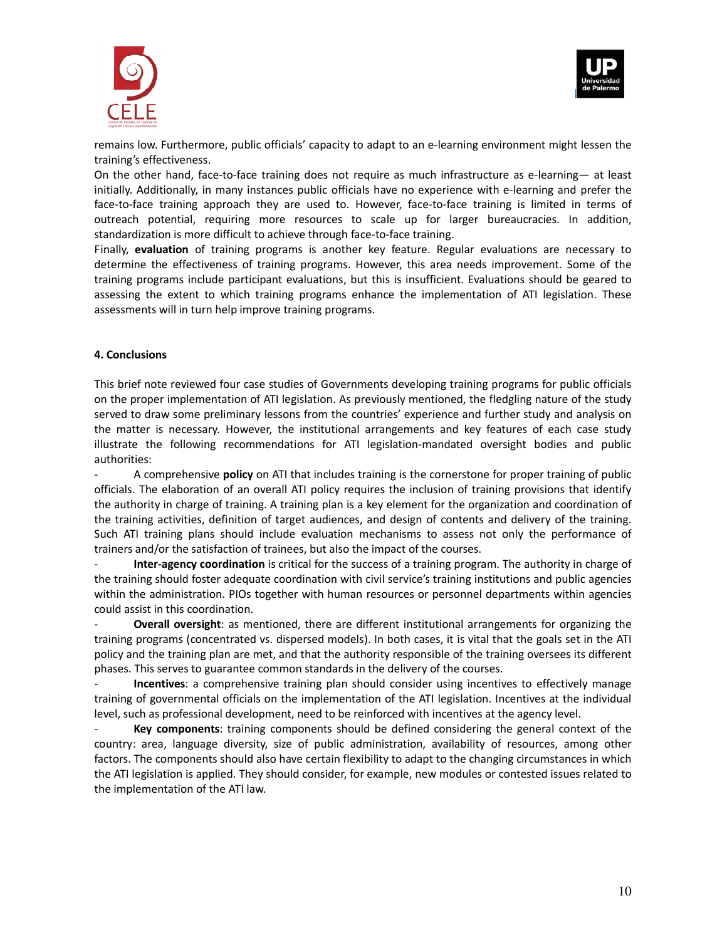



remains low. Furthermore, public officials' capacity to adapt to an e-learning environment might lessen the training's effectiveness.

On the other hand, face-to-face training does not require as much infrastructure as e-learning— at least initially. Additionally, in many instances public officials have no experience with e-learning and prefer the face-to-face training approach they are used to. However, face-to-face training is limited in terms of outreach potential, requiring more resources to scale up for larger bureaucracies. In addition, standardization is more difficult to achieve through face-to-face training.

Finally, **evaluation** of training programs is another key feature. Regular evaluations are necessary to determine the effectiveness of training programs. However, this area needs improvement. Some of the training programs include participant evaluations, but this is insufficient. Evaluations should be geared to assessing the extent to which training programs enhance the implementation of ATI legislation. These assessments will in turn help improve training programs.

## **4. Conclusions**

This brief note reviewed four case studies of Governments developing training programs for public officials on the proper implementation of ATI legislation. As previously mentioned, the fledgling nature of the study served to draw some preliminary lessons from the countries' experience and further study and analysis on the matter is necessary. However, the institutional arrangements and key features of each case study illustrate the following recommendations for ATI legislation-mandated oversight bodies and public authorities:

- A comprehensive **policy** on ATI that includes training is the cornerstone for proper training of public officials. The elaboration of an overall ATI policy requires the inclusion of training provisions that identify the authority in charge of training. A training plan is a key element for the organization and coordination of the training activities, definition of target audiences, and design of contents and delivery of the training. Such ATI training plans should include evaluation mechanisms to assess not only the performance of trainers and/or the satisfaction of trainees, but also the impact of the courses.

- **Inter-agency coordination** is critical for the success of a training program. The authority in charge of the training should foster adequate coordination with civil service's training institutions and public agencies within the administration. PIOs together with human resources or personnel departments within agencies could assist in this coordination.

- **Overall oversight**: as mentioned, there are different institutional arrangements for organizing the training programs (concentrated vs. dispersed models). In both cases, it is vital that the goals set in the ATI policy and the training plan are met, and that the authority responsible of the training oversees its different phases. This serves to guarantee common standards in the delivery of the courses.

Incentives: a comprehensive training plan should consider using incentives to effectively manage training of governmental officials on the implementation of the ATI legislation. Incentives at the individual level, such as professional development, need to be reinforced with incentives at the agency level.

- **Key components**: training components should be defined considering the general context of the country: area, language diversity, size of public administration, availability of resources, among other factors. The components should also have certain flexibility to adapt to the changing circumstances in which the ATI legislation is applied. They should consider, for example, new modules or contested issues related to the implementation of the ATI law.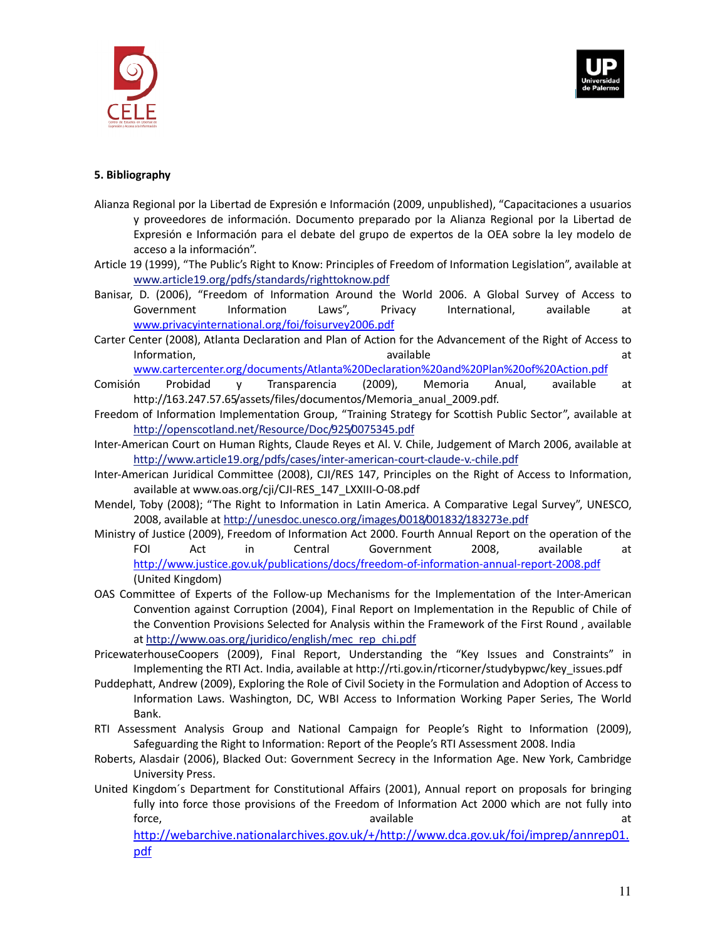



# **5. Bibliography**

- Alianza Regional por la Libertad de Expresión e Información (2009, unpublished), "Capacitaciones a usuarios y proveedores de información. Documento preparado por la Alianza Regional por la Libertad de Expresión e Información para el debate del grupo de expertos de la OEA sobre la ley modelo de acceso a la información".
- Article 19 (1999), "The Public's Right to Know: Principles of Freedom of Information Legislation", available at www.article19.org/pdfs/standards/righttoknow.pdf
- Banisar, D. (2006), "Freedom of Information Around the World 2006. A Global Survey of Access to Government Information Laws", Privacy International, available at www.privacyinternational.org/foi/foisurvey2006.pdf
- Carter Center (2008), Atlanta Declaration and Plan of Action for the Advancement of the Right of Access to Information, and the contract of the available at the contract of the contract of the contract of the contract of the contract of the contract of the contract of the contract of the contract of the contract of the contract

www.cartercenter.org/documents/Atlanta%20Declaration%20and%20Plan%20of%20Action.pdf

- Comisión Probidad y Transparencia (2009), Memoria Anual, available at http://163.247.57.65/assets/files/documentos/Memoria\_anual\_2009.pdf.
- Freedom of Information Implementation Group, "Training Strategy for Scottish Public Sector", available at http://openscotland.net/Resource/Doc/925/0075345.pdf
- Inter-American Court on Human Rights, Claude Reyes et Al. V. Chile, Judgement of March 2006, available at http://www.article19.org/pdfs/cases/inter-american-court-claude-v.-chile.pdf
- Inter-American Juridical Committee (2008), CJI/RES 147, Principles on the Right of Access to Information, available at www.oas.org/cji/CJI-RES\_147\_LXXIII-O-08.pdf
- Mendel, Toby (2008); "The Right to Information in Latin America. A Comparative Legal Survey", UNESCO, 2008, available at http://unesdoc.unesco.org/images/0018/001832/183273e.pdf
- Ministry of Justice (2009), Freedom of Information Act 2000. Fourth Annual Report on the operation of the FOI Act in Central Government 2008, available at http://www.justice.gov.uk/publications/docs/freedom-of-information-annual-report-2008.pdf (United Kingdom)
- OAS Committee of Experts of the Follow-up Mechanisms for the Implementation of the Inter-American Convention against Corruption (2004), Final Report on Implementation in the Republic of Chile of the Convention Provisions Selected for Analysis within the Framework of the First Round , available at http://www.oas.org/juridico/english/mec\_rep\_chi.pdf
- PricewaterhouseCoopers (2009), Final Report, Understanding the "Key Issues and Constraints" in Implementing the RTI Act. India, available at http://rti.gov.in/rticorner/studybypwc/key\_issues.pdf
- Puddephatt, Andrew (2009), Exploring the Role of Civil Society in the Formulation and Adoption of Access to Information Laws. Washington, DC, WBI Access to Information Working Paper Series, The World Bank.
- RTI Assessment Analysis Group and National Campaign for People's Right to Information (2009), Safeguarding the Right to Information: Report of the People's RTI Assessment 2008. India
- Roberts, Alasdair (2006), Blacked Out: Government Secrecy in the Information Age. New York, Cambridge University Press.
- United Kingdom´s Department for Constitutional Affairs (2001), Annual report on proposals for bringing fully into force those provisions of the Freedom of Information Act 2000 which are not fully into force, available at the state and a state at the state at the state at the state at the state at the state at  $\alpha$

http://webarchive.nationalarchives.gov.uk/+/http://www.dca.gov.uk/foi/imprep/annrep01. pdf